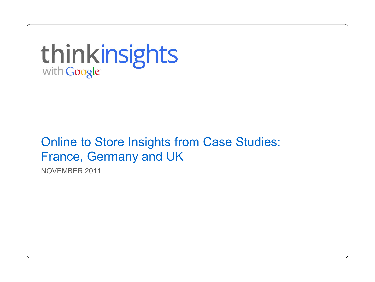thinkinsights

Online to Store Insights from Case Studies: France, Germany and UK

NOVEMBER 2011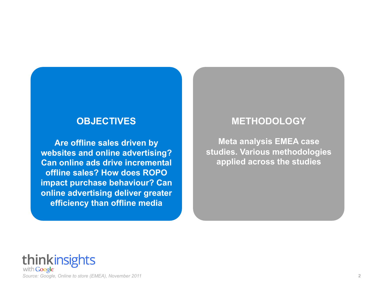#### **OBJECTIVES**

**Are offline sales driven by websites and online advertising? Can online ads drive incremental offline sales? How does ROPO impact purchase behaviour? Can online advertising deliver greater efficiency than offline media**

#### **METHODOLOGY**

**Meta analysis EMEA case studies. Various methodologies applied across the studies** 

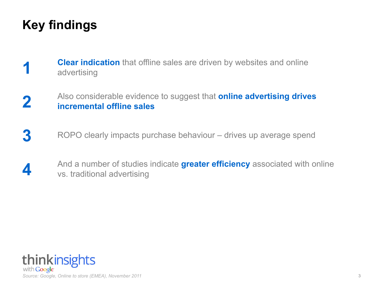# **Key findings**

- **1 Clear indication** that offline sales are driven by websites and online<br>advertising advertising
- **2** Also considerable evidence to suggest that **online advertising drives incremental offline sales**
- **3** ROPO clearly impacts purchase behaviour drives up average spend
- **4** And a number of studies indicate **greater efficiency** associated with online vs. traditional advertising

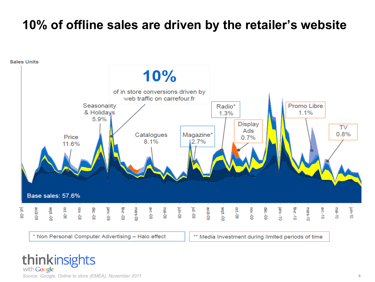#### **10% of offline sales are driven by the retailer's website**

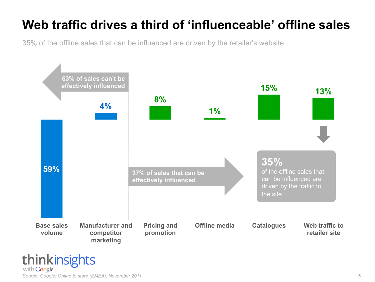# **Web traffic drives a third of 'influenceable' offline sales**

35% of the offline sales that can be influenced are driven by the retailer's website

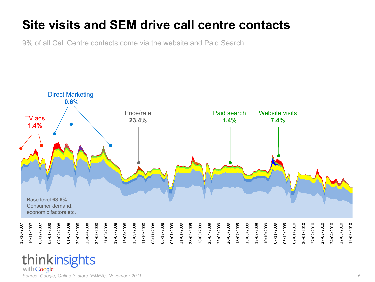#### **Site visits and SEM drive call centre contacts**

9% of all Call Centre contacts come via the website and Paid Search



#### thinkinsights with Google<sup>®</sup>

*Source: Google, Online to store (EMEA), November 2011* 6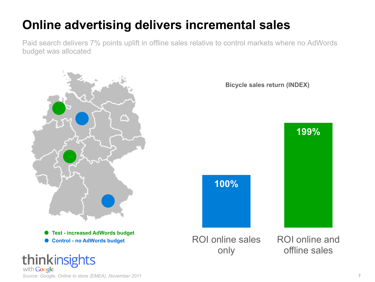Paid search delivers 7% points uplift in offline sales relative to control markets where no AdWords budget was allocated



*Source: Google, Online to store (EMEA), November 2011* 7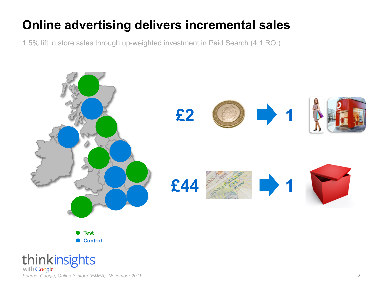1.5% lift in store sales through up-weighted investment in Paid Search (4:1 ROI)



**Test Control** 

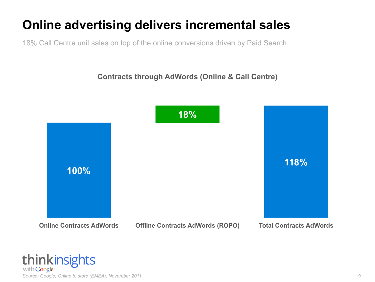18% Call Centre unit sales on top of the online conversions driven by Paid Search

**Contracts through AdWords (Online & Call Centre)** 



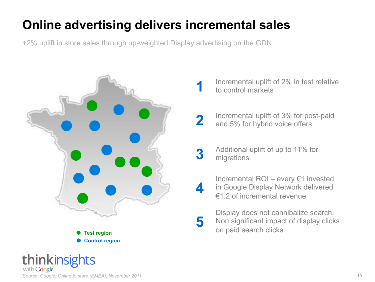+2% uplift in store sales through up-weighted Display advertising on the GDN





- **2** Incremental uplift of 3% for post-paid<br>and 5% for hybrid voice offers and 5% for hybrid voice offers
- **3** Additional uplift of up to 11% for migrations
- Incremental ROI every €1 invested<br>in Google Display Network delivered<br>E1.2 of incremental revenue in Google Display Network delivered €1.2 of incremental revenue
- **5** Display does not cannibalize search.<br> **5** Non significant impact of display click Non significant impact of display clicks on paid search clicks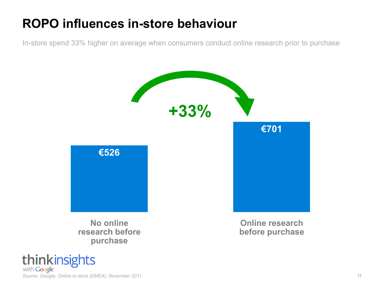#### **ROPO influences in-store behaviour**

In-store spend 33% higher on average when consumers conduct online research prior to purchase



thinkinsights with Google Source: Google, Online to store (EMEA), November 2011 11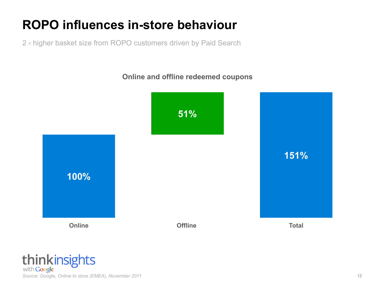# **ROPO influences in-store behaviour**

2 x higher basket size from ROPO customers driven by Paid Search

**Online and offline redeemed coupons** 



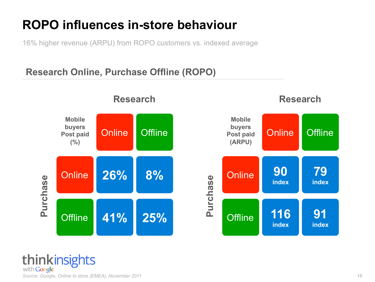#### **ROPO influences in-store behaviour**

16% higher revenue (ARPU) from ROPO customers vs. indexed average

#### **Research Online, Purchase Offline (ROPO)**



thinkinsights with **Google** Source: Google, Online to store (EMEA), November 2011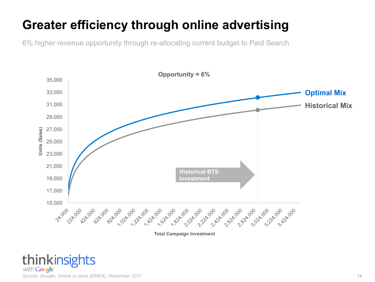6% higher revenue opportunity through re-allocating current budget to Paid Search

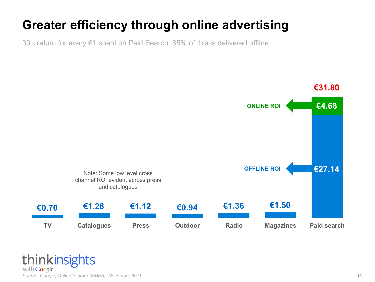30 x return for every €1 spent on Paid Search. 85% of this is delivered offline

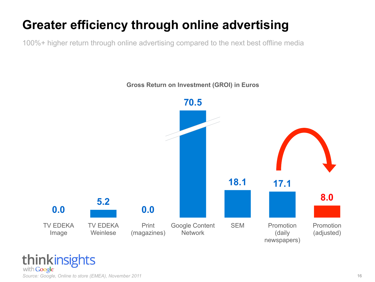100%+ higher return through online advertising compared to the next best offline media



#### **Gross Return on Investment (GROI) in Euros**

thinkinsights with Google Source: Google, Online to store (EMEA), November 2011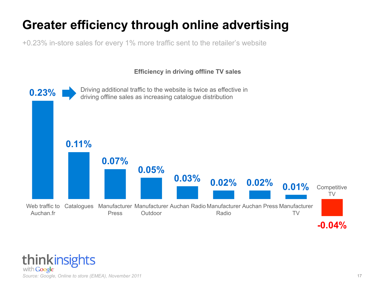+0.23% in-store sales for every 1% more traffic sent to the retailer's website

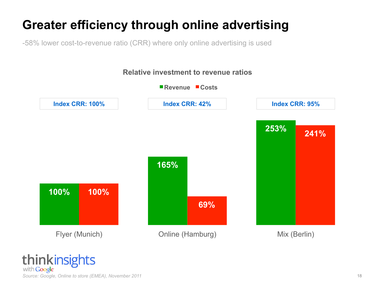-58% lower cost-to-revenue ratio (CRR) where only online advertising is used



#### thinkinsights with **Google** Source: Google, Online to store (EMEA), November 2011